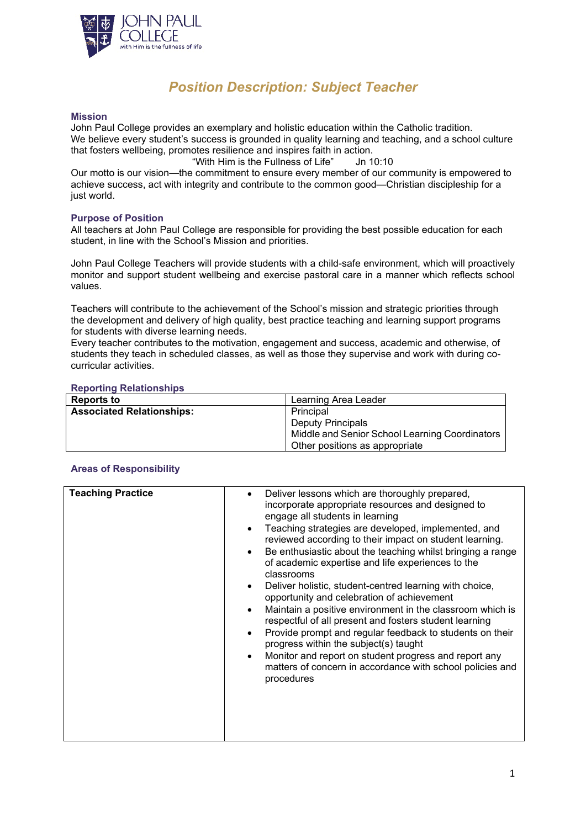

# *Position Description: Subject Teacher*

### **Mission**

John Paul College provides an exemplary and holistic education within the Catholic tradition. We believe every student's success is grounded in quality learning and teaching, and a school culture that fosters wellbeing, promotes resilience and inspires faith in action.

"With Him is the Fullness of Life" Jn 10:10

Our motto is our vision—the commitment to ensure every member of our community is empowered to achieve success, act with integrity and contribute to the common good—Christian discipleship for a just world.

# **Purpose of Position**

All teachers at John Paul College are responsible for providing the best possible education for each student, in line with the School's Mission and priorities.

John Paul College Teachers will provide students with a child-safe environment, which will proactively monitor and support student wellbeing and exercise pastoral care in a manner which reflects school values.

Teachers will contribute to the achievement of the School's mission and strategic priorities through the development and delivery of high quality, best practice teaching and learning support programs for students with diverse learning needs.

Every teacher contributes to the motivation, engagement and success, academic and otherwise, of students they teach in scheduled classes, as well as those they supervise and work with during cocurricular activities.

#### **Reporting Relationships**

| <b>Reports to</b>                | Learning Area Leader                           |
|----------------------------------|------------------------------------------------|
| <b>Associated Relationships:</b> | Principal                                      |
|                                  | <b>Deputy Principals</b>                       |
|                                  | Middle and Senior School Learning Coordinators |
|                                  | Other positions as appropriate                 |

# **Areas of Responsibility**

| <b>Teaching Practice</b> | Deliver lessons which are thoroughly prepared,<br>$\bullet$<br>incorporate appropriate resources and designed to<br>engage all students in learning<br>Teaching strategies are developed, implemented, and<br>$\bullet$<br>reviewed according to their impact on student learning.<br>Be enthusiastic about the teaching whilst bringing a range<br>$\bullet$<br>of academic expertise and life experiences to the<br>classrooms<br>Deliver holistic, student-centred learning with choice,<br>$\bullet$<br>opportunity and celebration of achievement<br>Maintain a positive environment in the classroom which is<br>$\bullet$<br>respectful of all present and fosters student learning<br>Provide prompt and regular feedback to students on their<br>$\bullet$<br>progress within the subject(s) taught<br>Monitor and report on student progress and report any<br>$\bullet$<br>matters of concern in accordance with school policies and<br>procedures |
|--------------------------|---------------------------------------------------------------------------------------------------------------------------------------------------------------------------------------------------------------------------------------------------------------------------------------------------------------------------------------------------------------------------------------------------------------------------------------------------------------------------------------------------------------------------------------------------------------------------------------------------------------------------------------------------------------------------------------------------------------------------------------------------------------------------------------------------------------------------------------------------------------------------------------------------------------------------------------------------------------|
|                          |                                                                                                                                                                                                                                                                                                                                                                                                                                                                                                                                                                                                                                                                                                                                                                                                                                                                                                                                                               |